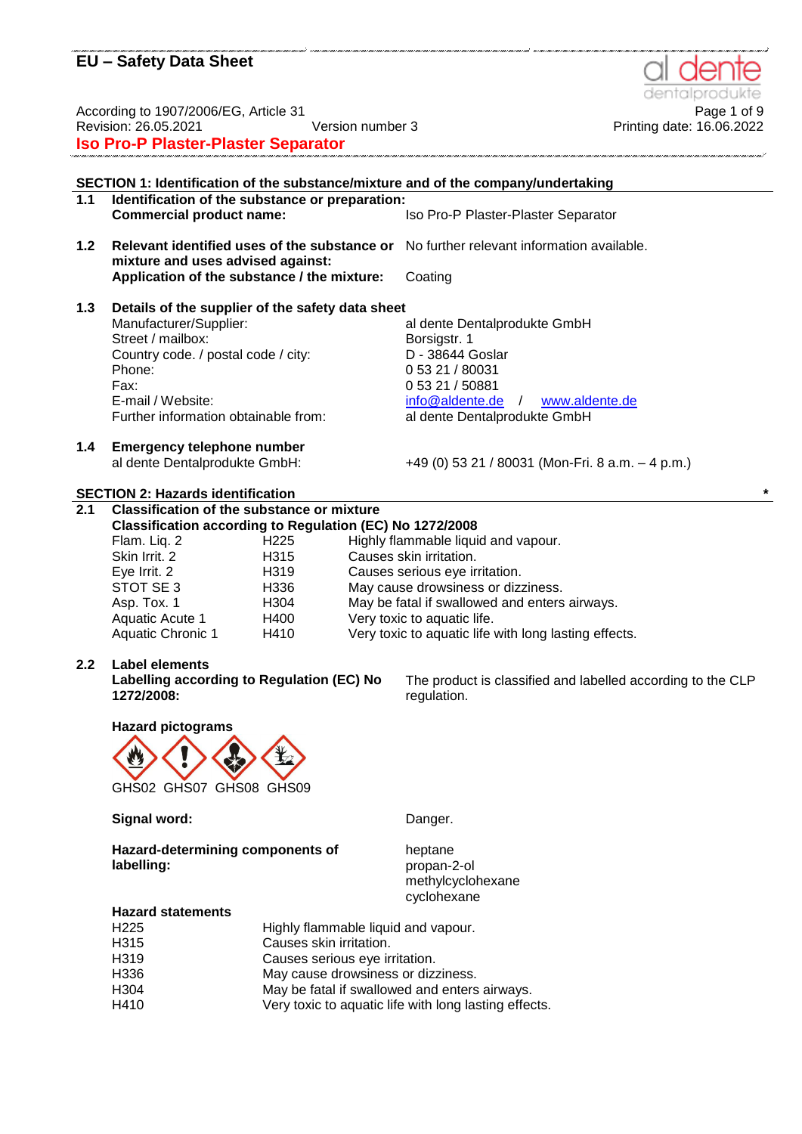Page 1 of 9<br>Page 1 of 9 Page 1 of 9 Page 1 of 9 Printing date: 16.06.2022<br>Printing date: 16.06.2022 Revision: 26.05.2021 Version number 3 Printing date: 16.06.2022 **Iso Pro-P Plaster-Plaster Separator**

**SECTION 1: Identification of the substance/mixture and of the company/undertaking 1.1 Identification of the substance or preparation: Commercial product name:** Iso Pro-P Plaster-Plaster Separator **1.2 Relevant identified uses of the substance or**  No further relevant information available. **mixture and uses advised against: Application of the substance / the mixture:** Coating **1.3 Details of the supplier of the safety data sheet** al dente Dentalprodukte GmbH Street / mailbox: Borsigstr. 1 Country code. / postal code / city: D - 38644 Goslar Phone: 0 53 21 / 80031 Fax: E-mail / Website: 0 53 21 / 50881 [info@aldente.de](mailto:info@aldente.de) / [www.aldente.de](http://www.aldente.de/) Further information obtainable from: al dente Dentalprodukte GmbH **1.4 Emergency telephone number** al dente Dentalprodukte GmbH: +49 (0) 53 21 / 80031 (Mon-Fri. 8 a.m. – 4 p.m.) **SECTION 2: Hazards identification \* 2.1 Classification of the substance or mixture Classification according to Regulation (EC) No 1272/2008** H225 Highly flammable liquid and vapour. Skin Irrit. 2 **H315** Causes skin irritation. Eye Irrit. 2 H319 Causes serious eye irritation. STOT SE 3 H336 May cause drowsiness or dizziness. Asp. Tox. 1 **H304** May be fatal if swallowed and enters airways. Aquatic Acute 1 H400 Very toxic to aquatic life. Aquatic Chronic 1 H410 Very toxic to aquatic life with long lasting effects. **2.2 Label elements Labelling according to Regulation (EC) No 1272/2008:** The product is classified and labelled according to the CLP regulation.

**Hazard pictograms**

GHS02 GHS07 GHS08 GHS09

Signal word: **Communist Signal Word: Danger.** 

heptane propan-2-ol

methylcyclohexane cyclohexane

**Hazard-determining components of labelling:**

**Hazard statements**

| H <sub>225</sub> | Highly flammable liquid and vapour.                   |
|------------------|-------------------------------------------------------|
| H <sub>315</sub> | Causes skin irritation.                               |
| H <sub>319</sub> | Causes serious eye irritation.                        |
| H336             | May cause drowsiness or dizziness.                    |
| H304             | May be fatal if swallowed and enters airways.         |
| H410             | Very toxic to aquatic life with long lasting effects. |
|                  |                                                       |

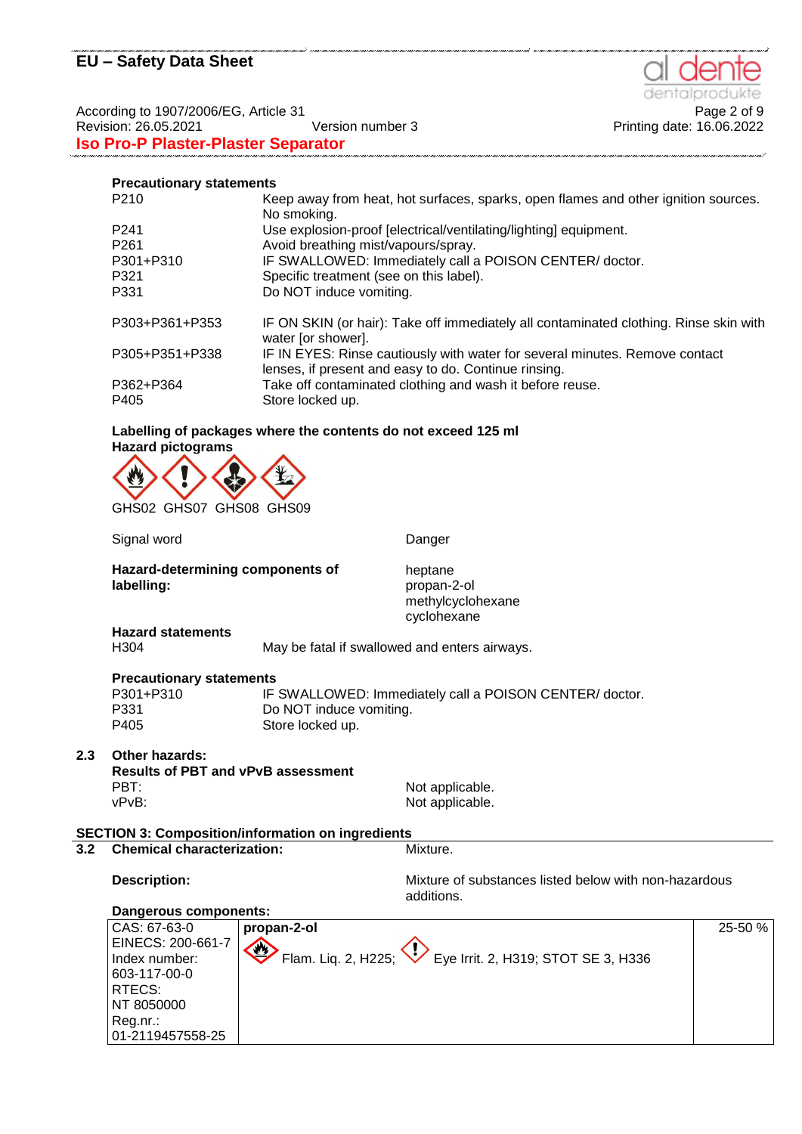denta

Printing date: 16.06.2022

According to 1907/2006/EG, Article 31<br>Printing date: 16.06.2022<br>Printing date: 16.06.2022 **Iso Pro-P Plaster-Plaster Separator**

## **Precautionary statements**

| P <sub>210</sub> | Keep away from heat, hot surfaces, sparks, open flames and other ignition sources.<br>No smoking.                                   |
|------------------|-------------------------------------------------------------------------------------------------------------------------------------|
| P <sub>241</sub> | Use explosion-proof [electrical/ventilating/lighting] equipment.                                                                    |
| P <sub>261</sub> | Avoid breathing mist/vapours/spray.                                                                                                 |
| P301+P310        | IF SWALLOWED: Immediately call a POISON CENTER/ doctor.                                                                             |
| P321             | Specific treatment (see on this label).                                                                                             |
| P331             | Do NOT induce vomiting.                                                                                                             |
| P303+P361+P353   | IF ON SKIN (or hair): Take off immediately all contaminated clothing. Rinse skin with<br>water [or shower].                         |
| P305+P351+P338   | IF IN EYES: Rinse cautiously with water for several minutes. Remove contact<br>lenses, if present and easy to do. Continue rinsing. |
| P362+P364        | Take off contaminated clothing and wash it before reuse.                                                                            |
| P405             | Store locked up.                                                                                                                    |

### **Labelling of packages where the contents do not exceed 125 ml Hazard pictograms**



GHS02 GHS07 GHS08 GHS09

Signal word **Danger** Danger **Hazard-determining components of labelling:** heptane propan-2-ol methylcyclohexane cyclohexane **Hazard statements** H304 May be fatal if swallowed and enters airways. **Precautionary statements** P301+P310 IF SWALLOWED: Immediately call a POISON CENTER/ doctor. P331 Do NOT induce vomiting. P405 Store locked up. **2.3 Other hazards: Results of PBT and vPvB assessment** PBT:<br>
VEXT:<br>
VEXT:<br>
VEXT:<br>
VEXT:<br>
Not applicable. Not applicable. **SECTION 3: Composition/information on ingredients 3.2 Chemical characterization:** Mixture. **Description:** The Mixture of substances listed below with non-hazardous **Description:** additions. **Dangerous components:** CAS: 67-63-0 EINECS: 200-661-7 Index number: 603-117-00-0 RTECS: NT 8050000 Reg.nr.: 01-2119457558-25 **propan-2-ol** Flam. Liq. 2, H225;  $\langle \rangle$  Eye Irrit. 2, H319; STOT SE 3, H336 25-50 %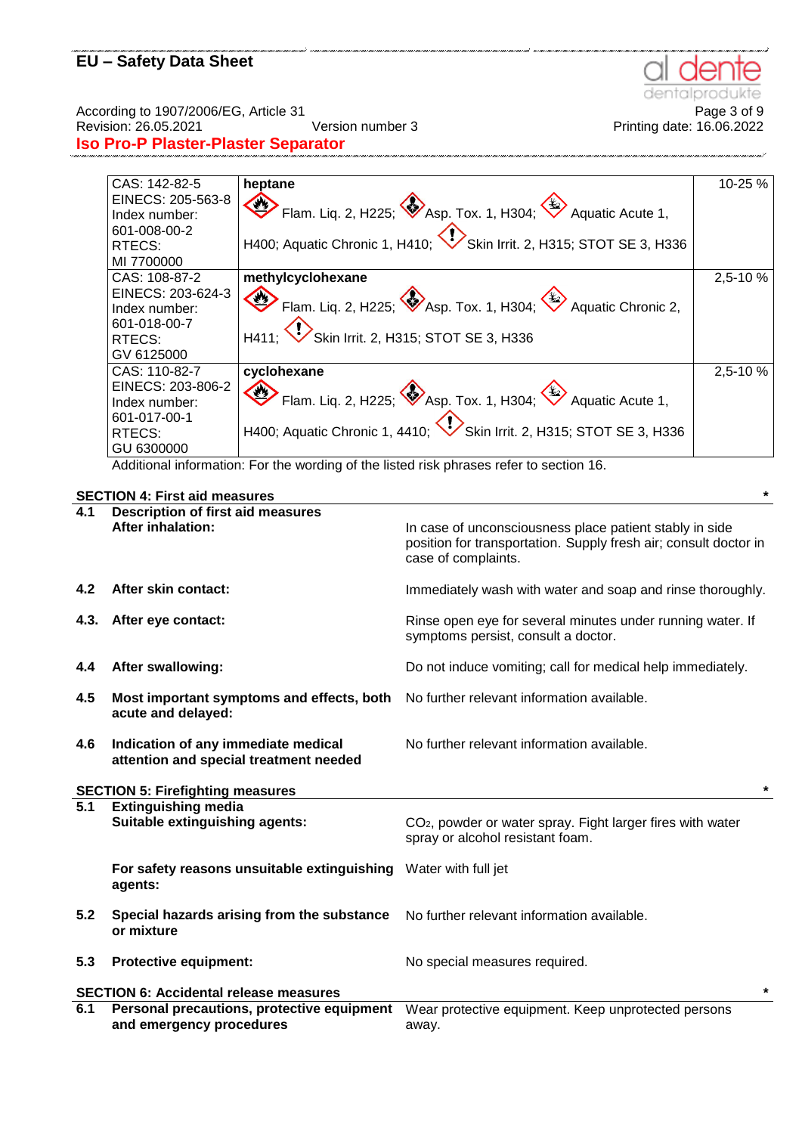dentalp te

According to 1907/2006/EG, Article 31<br>Page 3 of 9<br>Printing date: 16.06.2022<br>Printing date: 16.06.2022

**Iso Pro-P Plaster-Plaster Separator**

| CAS: 142-82-5     | heptane                                                                           | 10-25 %  |
|-------------------|-----------------------------------------------------------------------------------|----------|
| EINECS: 205-563-8 |                                                                                   |          |
| Index number:     | Flam. Liq. 2, H225; $\bigotimes$ Asp. Tox. 1, H304; $\bigotimes$ Aquatic Acute 1, |          |
| 601-008-00-2      |                                                                                   |          |
| RTECS:            | H400; Aquatic Chronic 1, H410; Skin Irrit. 2, H315; STOT SE 3, H336               |          |
| MI 7700000        |                                                                                   |          |
| CAS: 108-87-2     | methylcyclohexane                                                                 | 2,5-10 % |
| EINECS: 203-624-3 |                                                                                   |          |
| Index number:     | Flam. Liq. 2, H225; Asp. Tox. 1, H304; $\leftrightarrow$ Aquatic Chronic 2,       |          |
| 601-018-00-7      |                                                                                   |          |
| RTECS:            | H411; Skin Irrit. 2, H315; STOT SE 3, H336                                        |          |
| GV 6125000        |                                                                                   |          |
| CAS: 110-82-7     | cyclohexane                                                                       | 2,5-10 % |
| EINECS: 203-806-2 |                                                                                   |          |
| Index number:     | Flam. Liq. 2, H225; Asp. Tox. 1, H304; $\leftrightarrow$ Aquatic Acute 1,         |          |
| 601-017-00-1      |                                                                                   |          |
| RTECS:            | H400; Aquatic Chronic 1, 4410; Skin Irrit. 2, H315; STOT SE 3, H336               |          |
| GU 6300000        |                                                                                   |          |

na'i sena an macaasaa na macaasaa macaasaa macaasaa macaasaa macaasaa macaasaa macaasaa macaasaa macaasaa macaasaa san san

Additional information: For the wording of the listed risk phrases refer to section 16.

## **SECTION 4: First aid measures \***

| 4.1  | <b>Description of first aid measures</b>                                      |                                                                                                                                                    |
|------|-------------------------------------------------------------------------------|----------------------------------------------------------------------------------------------------------------------------------------------------|
|      | <b>After inhalation:</b>                                                      | In case of unconsciousness place patient stably in side<br>position for transportation. Supply fresh air; consult doctor in<br>case of complaints. |
| 4.2  | After skin contact:                                                           | Immediately wash with water and soap and rinse thoroughly.                                                                                         |
| 4.3. | After eye contact:                                                            | Rinse open eye for several minutes under running water. If<br>symptoms persist, consult a doctor.                                                  |
| 4.4  | <b>After swallowing:</b>                                                      | Do not induce vomiting; call for medical help immediately.                                                                                         |
| 4.5  | Most important symptoms and effects, both<br>acute and delayed:               | No further relevant information available.                                                                                                         |
| 4.6  | Indication of any immediate medical<br>attention and special treatment needed | No further relevant information available.                                                                                                         |
|      | <b>SECTION 5: Firefighting measures</b>                                       | $\star$                                                                                                                                            |
| 5.1  | <b>Extinguishing media</b><br>Suitable extinguishing agents:                  | CO <sub>2</sub> , powder or water spray. Fight larger fires with water<br>spray or alcohol resistant foam.                                         |
|      | For safety reasons unsuitable extinguishing Water with full jet<br>agents:    |                                                                                                                                                    |
| 5.2  | Special hazards arising from the substance<br>or mixture                      | No further relevant information available.                                                                                                         |
| 5.3  | <b>Protective equipment:</b>                                                  | No special measures required.                                                                                                                      |
|      | <b>SECTION 6: Accidental release measures</b>                                 | $\star$                                                                                                                                            |
| 6.1  | Personal precautions, protective equipment<br>and emergency procedures        | Wear protective equipment. Keep unprotected persons<br>away.                                                                                       |

Printing date: 16.06.2022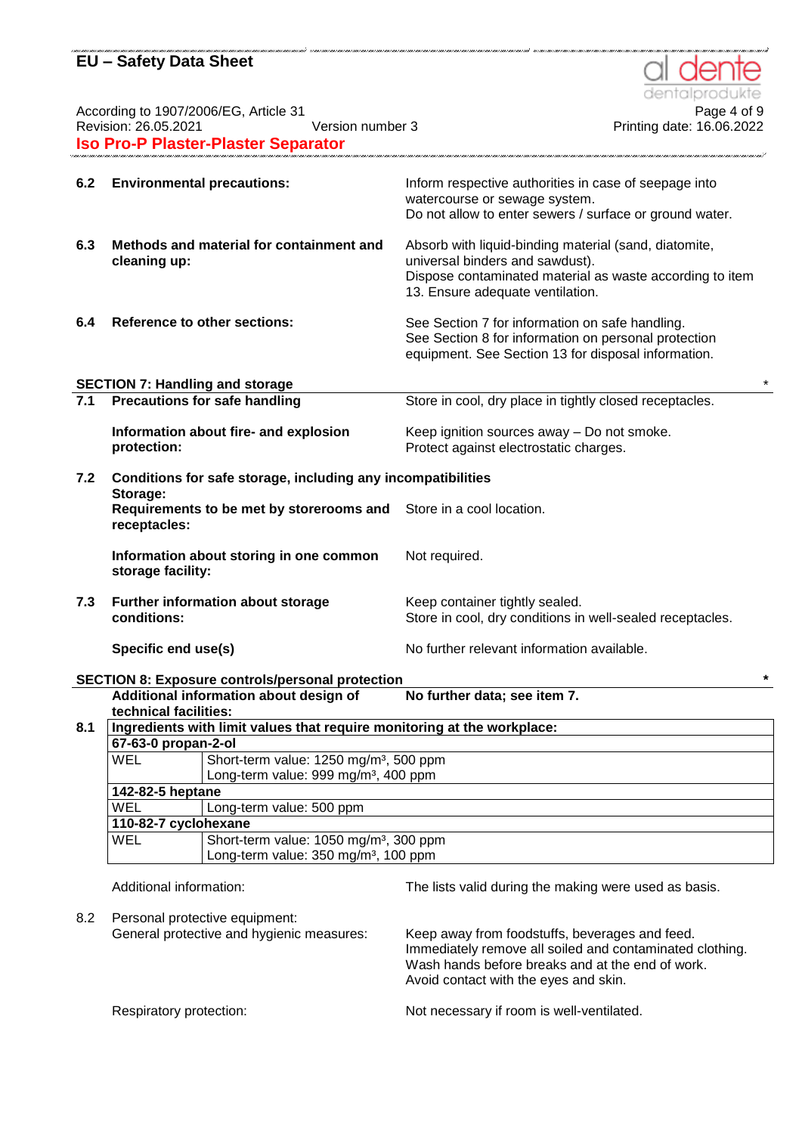According to 1907/2006/EG, Article 31<br>Revision: 26.05.2021 Page 4 of 9<br>Printing date: 16.06.2022 **Iso Pro-P Plaster-Plaster Separator**

| 6.2 | <b>Environmental precautions:</b>                                                  | Inform respective authorities in case of seepage into<br>watercourse or sewage system.                                                                                                   |
|-----|------------------------------------------------------------------------------------|------------------------------------------------------------------------------------------------------------------------------------------------------------------------------------------|
|     |                                                                                    | Do not allow to enter sewers / surface or ground water.                                                                                                                                  |
| 6.3 | Methods and material for containment and<br>cleaning up:                           | Absorb with liquid-binding material (sand, diatomite,<br>universal binders and sawdust).<br>Dispose contaminated material as waste according to item<br>13. Ensure adequate ventilation. |
| 6.4 | <b>Reference to other sections:</b>                                                | See Section 7 for information on safe handling.<br>See Section 8 for information on personal protection<br>equipment. See Section 13 for disposal information.                           |
|     | <b>SECTION 7: Handling and storage</b>                                             | $\star$                                                                                                                                                                                  |
|     | 7.1 Precautions for safe handling                                                  | Store in cool, dry place in tightly closed receptacles.                                                                                                                                  |
|     | Information about fire- and explosion                                              | Keep ignition sources away - Do not smoke.                                                                                                                                               |
|     | protection:                                                                        | Protect against electrostatic charges.                                                                                                                                                   |
| 7.2 | Conditions for safe storage, including any incompatibilities<br>Storage:           |                                                                                                                                                                                          |
|     | Requirements to be met by storerooms and Store in a cool location.<br>receptacles: |                                                                                                                                                                                          |
|     | Information about storing in one common<br>storage facility:                       | Not required.                                                                                                                                                                            |
| 7.3 | Further information about storage<br>conditions:                                   | Keep container tightly sealed.<br>Store in cool, dry conditions in well-sealed receptacles.                                                                                              |
|     | Specific end use(s)                                                                | No further relevant information available.                                                                                                                                               |

## **SECTION 8: Exposure controls/personal protection \***

|     | technical facilities: | Additional information about design of<br>No further data; see item 7.  |
|-----|-----------------------|-------------------------------------------------------------------------|
| 8.1 |                       | Ingredients with limit values that require monitoring at the workplace: |
|     | 67-63-0 propan-2-ol   |                                                                         |
|     | WEL                   | Short-term value: 1250 mg/m <sup>3</sup> , 500 ppm                      |
|     |                       | Long-term value: 999 mg/m <sup>3</sup> , 400 ppm                        |
|     | 142-82-5 heptane      |                                                                         |
|     | <b>WEL</b>            | Long-term value: 500 ppm                                                |
|     | 110-82-7 cyclohexane  |                                                                         |
|     | <b>WEL</b>            | Short-term value: 1050 mg/m <sup>3</sup> , 300 ppm                      |
|     |                       | Long-term value: 350 mg/m <sup>3</sup> , 100 ppm                        |

Additional information: The lists valid during the making were used as basis.

8.2 Personal protective equipment: General protective and hygienic measures: Keep away from foodstuffs, beverages and feed. Immediately remove all soiled and contaminated clothing. Wash hands before breaks and at the end of work. Avoid contact with the eyes and skin. Respiratory protection: Not necessary if room is well-ventilated.



Printing date: 16.06.2022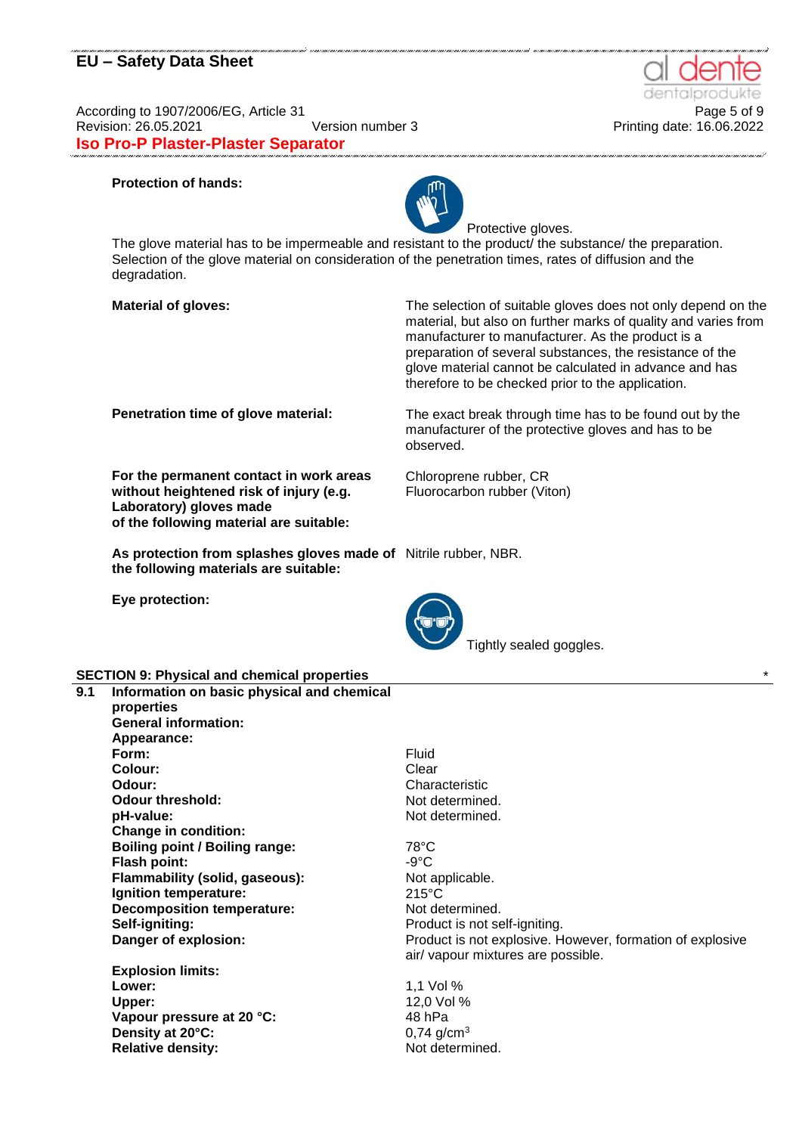According to 1907/2006/EG, Article 31 **Page 5 of 9** Page 5 of 9 Revision: 26.05.2021 Version number 3 Printing date: 16.06.2022 **Iso Pro-P Plaster-Plaster Separator**

### **Protection of hands:**



Protective gloves. The glove material has to be impermeable and resistant to the product the substance the preparation. Selection of the glove material on consideration of the penetration times, rates of diffusion and the degradation.

**Material of gloves:** The selection of suitable gloves does not only depend on the material, but also on further marks of quality and varies from manufacturer to manufacturer. As the product is a preparation of several substances, the resistance of the glove material cannot be calculated in advance and has therefore to be checked prior to the application.

**For the permanent contact in work areas without heightened risk of injury (e.g. Laboratory) gloves made of the following material are suitable:**

**Penetration time of glove material:** The exact break through time has to be found out by the manufacturer of the protective gloves and has to be observed.

> Chloroprene rubber, CR Fluorocarbon rubber (Viton)

**As protection from splashes gloves made of**  Nitrile rubber, NBR. **the following materials are suitable:**

**Eye protection:**



Tightly sealed goggles.

## **SECTION 9: Physical and chemical properties** \*

| 9.1 | Information on basic physical and chemical<br>properties |                 |
|-----|----------------------------------------------------------|-----------------|
|     | <b>General information:</b>                              |                 |
|     | Appearance:                                              |                 |
|     | Form:                                                    | <b>Fluid</b>    |
|     | Colour:                                                  | Clear           |
|     | Odour:                                                   | Chara           |
|     | Odour threshold:                                         | Not de          |
|     | pH-value:                                                | Not de          |
|     | <b>Change in condition:</b>                              |                 |
|     | <b>Boiling point / Boiling range:</b>                    | $78^{\circ}$ C  |
|     | <b>Flash point:</b>                                      | $-9^{\circ}$ C  |
|     | Flammability (solid, gaseous):                           | Not ap          |
|     | Ignition temperature:                                    | $215^{\circ}$ C |
|     | <b>Decomposition temperature:</b>                        | Not de          |
|     | Self-igniting:                                           | Produ           |
|     | Danger of explosion:                                     | Produ<br>air/va |

**Explosion limits: Lower:** 1,1 Vol % **Upper:** 12,0 Vol % **Vapour pressure at 20 °C:** 48 hPa **Density at 20°C:** 0,74 g/cm<sup>3</sup> **Relative density:** Not determined.

Fluid Clear **Odour:** Characteristic Not determined. Not determined.

Not applicable. Not determined. **Self-igniting:** Product is not self-igniting. Product is not explosive. However, formation of explosive air/ vapour mixtures are possible.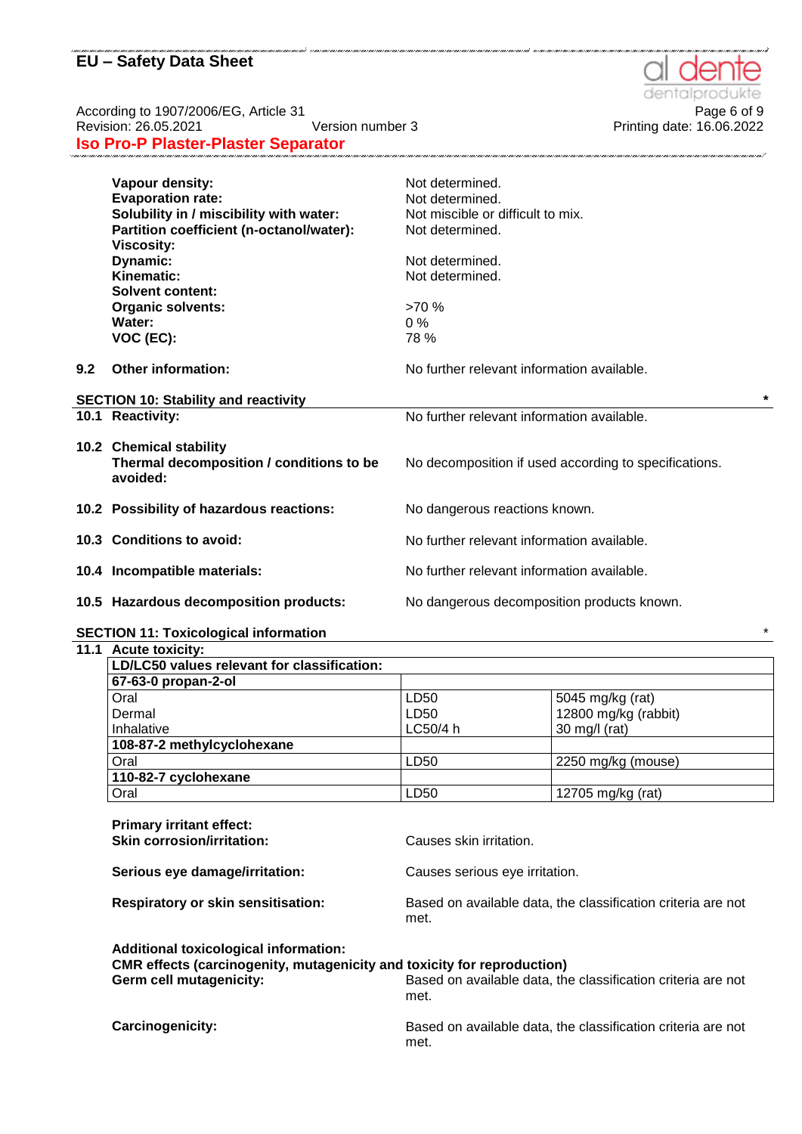**Iso Pro-P Plaster-Plaster Separator**

|     | Vapour density:                             | Not determined.                                       |         |
|-----|---------------------------------------------|-------------------------------------------------------|---------|
|     | <b>Evaporation rate:</b>                    | Not determined.                                       |         |
|     | Solubility in / miscibility with water:     | Not miscible or difficult to mix.                     |         |
|     | Partition coefficient (n-octanol/water):    | Not determined.                                       |         |
|     | <b>Viscosity:</b>                           |                                                       |         |
|     | Dynamic:                                    | Not determined.                                       |         |
|     | Kinematic:                                  | Not determined.                                       |         |
|     | <b>Solvent content:</b>                     |                                                       |         |
|     | <b>Organic solvents:</b>                    | >70%                                                  |         |
|     | Water:                                      | $0\%$                                                 |         |
|     | VOC (EC):                                   | 78 %                                                  |         |
|     |                                             |                                                       |         |
| 9.2 | <b>Other information:</b>                   | No further relevant information available.            |         |
|     |                                             |                                                       |         |
|     | <b>SECTION 10: Stability and reactivity</b> |                                                       | $\star$ |
|     | 10.1 Reactivity:                            | No further relevant information available.            |         |
|     |                                             |                                                       |         |
|     | 10.2 Chemical stability                     |                                                       |         |
|     | Thermal decomposition / conditions to be    | No decomposition if used according to specifications. |         |
|     | avoided:                                    |                                                       |         |
|     |                                             |                                                       |         |
|     | 10.2 Possibility of hazardous reactions:    | No dangerous reactions known.                         |         |
|     |                                             |                                                       |         |
|     | 10.3 Conditions to avoid:                   | No further relevant information available.            |         |
|     |                                             |                                                       |         |
|     | 10.4 Incompatible materials:                | No further relevant information available.            |         |
|     |                                             |                                                       |         |
|     | 10.5 Hazardous decomposition products:      | No dangerous decomposition products known.            |         |
|     |                                             |                                                       |         |

## **SECTION 11: Toxicological information** \*

#### **11.1 Acute toxicity:**

| LD/LC50 values relevant for classification: |          |                         |  |
|---------------------------------------------|----------|-------------------------|--|
| 67-63-0 propan-2-ol                         |          |                         |  |
| Oral                                        | LD50     | 5045 mg/kg (rat)        |  |
| Dermal                                      | LD50     | 12800 mg/kg (rabbit)    |  |
| Inhalative                                  | LC50/4 h | $30 \text{ mg/l}$ (rat) |  |
| 108-87-2 methylcyclohexane                  |          |                         |  |
| Oral                                        | LD50     | 2250 mg/kg (mouse)      |  |
| 110-82-7 cyclohexane                        |          |                         |  |
| Oral                                        | LD50     | 12705 mg/kg (rat)       |  |

| <b>Primary irritant effect:</b><br><b>Skin corrosion/irritation:</b>                                                                                      | Causes skin irritation.                                              |
|-----------------------------------------------------------------------------------------------------------------------------------------------------------|----------------------------------------------------------------------|
| Serious eye damage/irritation:                                                                                                                            | Causes serious eye irritation.                                       |
| <b>Respiratory or skin sensitisation:</b>                                                                                                                 | Based on available data, the classification criteria are not<br>met. |
| <b>Additional toxicological information:</b><br><b>CMR</b> effects (carcinogenity, mutagenicity and toxicity for reproduction)<br>Germ cell mutagenicity: | Based on available data, the classification criteria are not<br>met. |
| <b>Carcinogenicity:</b>                                                                                                                                   | Based on available data, the classification criteria are not<br>met. |





According to 1907/2006/EG, Article 31<br>Printing date: 16.05.2021 <br>Printing date: 16.06.2022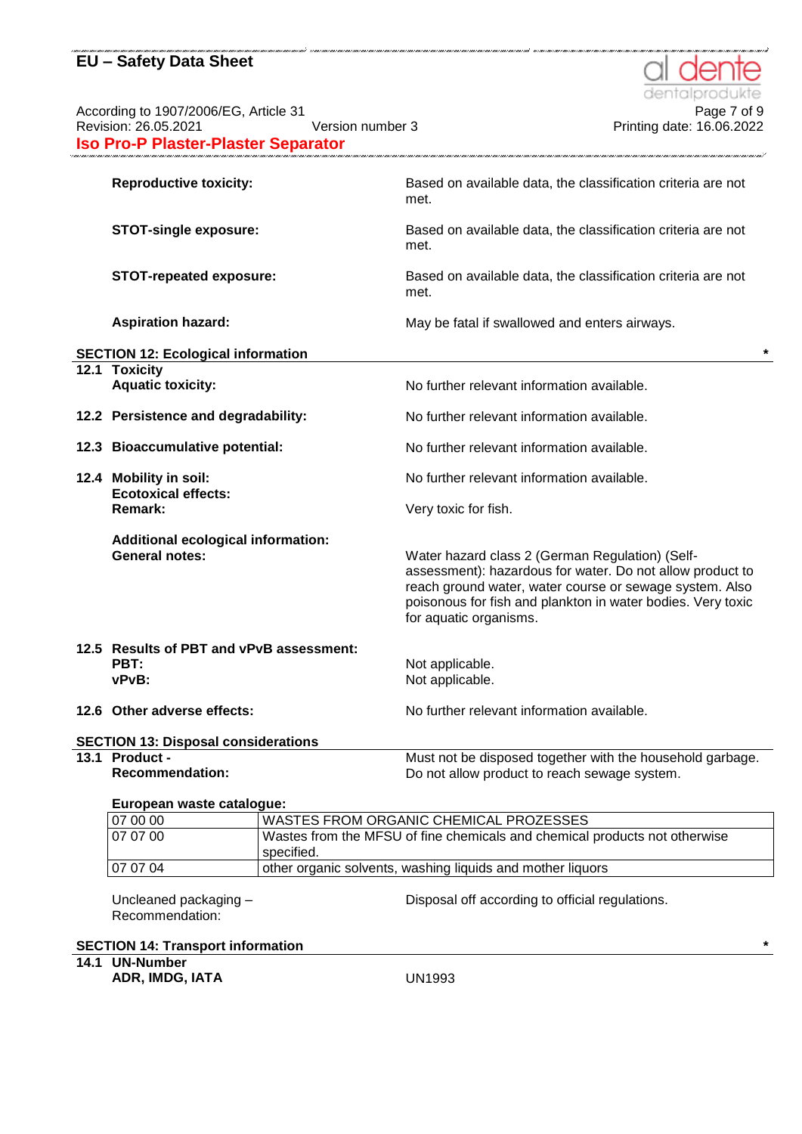According to 1907/2006/EG, Article 31<br>Printing date: 16.05.2021 Persion 1907/2006/EG, Article 31<br>Printing date: 16.06.2022 **Iso Pro-P Plaster-Plaster Separator**

| <b>Reproductive toxicity:</b>                                      | Based on available data, the classification criteria are not<br>met.                                                                                                                                                                                             |
|--------------------------------------------------------------------|------------------------------------------------------------------------------------------------------------------------------------------------------------------------------------------------------------------------------------------------------------------|
| <b>STOT-single exposure:</b>                                       | Based on available data, the classification criteria are not<br>met.                                                                                                                                                                                             |
| <b>STOT-repeated exposure:</b>                                     | Based on available data, the classification criteria are not<br>met.                                                                                                                                                                                             |
| <b>Aspiration hazard:</b>                                          | May be fatal if swallowed and enters airways.                                                                                                                                                                                                                    |
| <b>SECTION 12: Ecological information</b>                          |                                                                                                                                                                                                                                                                  |
| 12.1 Toxicity<br><b>Aquatic toxicity:</b>                          | No further relevant information available.                                                                                                                                                                                                                       |
| 12.2 Persistence and degradability:                                | No further relevant information available.                                                                                                                                                                                                                       |
| 12.3 Bioaccumulative potential:                                    | No further relevant information available.                                                                                                                                                                                                                       |
| 12.4 Mobility in soil:<br><b>Ecotoxical effects:</b>               | No further relevant information available.                                                                                                                                                                                                                       |
| Remark:                                                            | Very toxic for fish.                                                                                                                                                                                                                                             |
| <b>Additional ecological information:</b><br><b>General notes:</b> | Water hazard class 2 (German Regulation) (Self-<br>assessment): hazardous for water. Do not allow product to<br>reach ground water, water course or sewage system. Also<br>poisonous for fish and plankton in water bodies. Very toxic<br>for aquatic organisms. |
| 12.5 Results of PBT and vPvB assessment:<br>PBT:<br>vPvB:          | Not applicable.<br>Not applicable.                                                                                                                                                                                                                               |
| 12.6 Other adverse effects:                                        | No further relevant information available.                                                                                                                                                                                                                       |
| <b>SECTION 13: Disposal considerations</b>                         |                                                                                                                                                                                                                                                                  |
| 13.1 Product -                                                     | Must not be disposed together with the household garbage.                                                                                                                                                                                                        |
| <b>Recommendation:</b>                                             | Do not allow product to reach sewage system.                                                                                                                                                                                                                     |
| European waste catalogue:                                          |                                                                                                                                                                                                                                                                  |
| 07.00.00                                                           | WASTES FROM ORGANIC CHEMICAL PROZESSES                                                                                                                                                                                                                           |

| 107000 | WASTES FROM ORGANIC CHEMICAL PROZESSES                                     |
|--------|----------------------------------------------------------------------------|
| 070700 | Wastes from the MFSU of fine chemicals and chemical products not otherwise |
|        | specified.                                                                 |
| 070704 | other organic solvents, washing liquids and mother liquors                 |
|        |                                                                            |

Uncleaned packaging – Recommendation:

Disposal off according to official regulations.

**SECTION 14: Transport information \***

**14.1 UN-Number**

**ADR, IMDG, IATA** UN1993



Printing date: 16.06.2022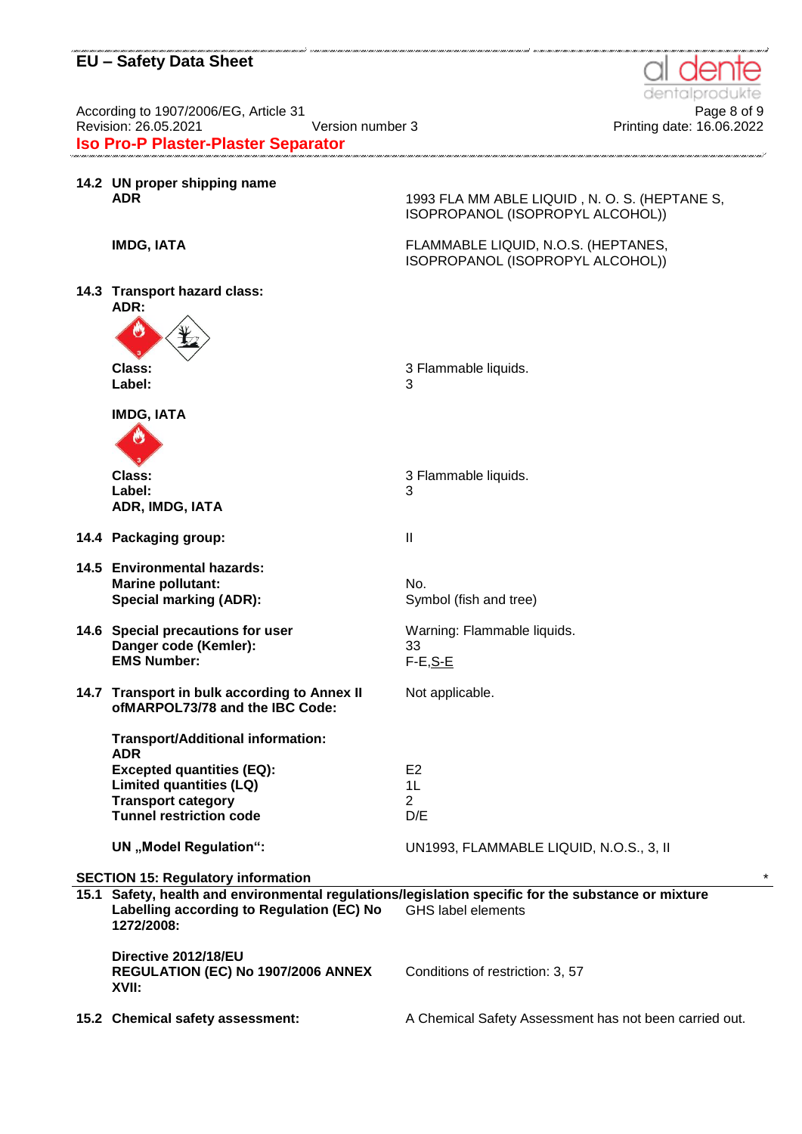According to 1907/2006/EG, Article 31<br>Printing date: 16.05.2021 <br>Printing date: 16.06.2022 **Iso Pro-P Plaster-Plaster Separator**

|      | 14.2 UN proper shipping name<br><b>ADR</b>                                                                                        | 1993 FLA MM ABLE LIQUID, N. O. S. (HEPTANE S,<br>ISOPROPANOL (ISOPROPYL ALCOHOL))                                           |
|------|-----------------------------------------------------------------------------------------------------------------------------------|-----------------------------------------------------------------------------------------------------------------------------|
|      | <b>IMDG, IATA</b>                                                                                                                 | FLAMMABLE LIQUID, N.O.S. (HEPTANES,<br>ISOPROPANOL (ISOPROPYL ALCOHOL))                                                     |
|      | 14.3 Transport hazard class:<br>ADR:<br>O                                                                                         |                                                                                                                             |
|      | Class:<br>Label:                                                                                                                  | 3 Flammable liquids.<br>3                                                                                                   |
|      | <b>IMDG, IATA</b><br>O                                                                                                            |                                                                                                                             |
|      | Class:<br>Label:<br>ADR, IMDG, IATA                                                                                               | 3 Flammable liquids.<br>3                                                                                                   |
|      | 14.4 Packaging group:                                                                                                             | $\mathbf{I}$                                                                                                                |
|      | 14.5 Environmental hazards:<br><b>Marine pollutant:</b><br><b>Special marking (ADR):</b>                                          | No.<br>Symbol (fish and tree)                                                                                               |
|      | 14.6 Special precautions for user<br>Danger code (Kemler):<br><b>EMS Number:</b>                                                  | Warning: Flammable liquids.<br>33<br>$F-E, S-E$                                                                             |
|      | 14.7 Transport in bulk according to Annex II<br>ofMARPOL73/78 and the IBC Code:                                                   | Not applicable.                                                                                                             |
|      | <b>Transport/Additional information:</b><br><b>ADR</b>                                                                            |                                                                                                                             |
|      | <b>Excepted quantities (EQ):</b><br><b>Limited quantities (LQ)</b><br><b>Transport category</b><br><b>Tunnel restriction code</b> | E <sub>2</sub><br>1L<br>$\overline{2}$<br>D/E                                                                               |
|      | <b>UN</b> "Model Regulation":                                                                                                     | UN1993, FLAMMABLE LIQUID, N.O.S., 3, II                                                                                     |
|      | <b>SECTION 15: Regulatory information</b>                                                                                         |                                                                                                                             |
| 15.1 | Labelling according to Regulation (EC) No<br>1272/2008:                                                                           | Safety, health and environmental regulations/legislation specific for the substance or mixture<br><b>GHS label elements</b> |
|      | Directive 2012/18/EU<br>REGULATION (EC) No 1907/2006 ANNEX                                                                        | Conditions of restriction: 3, 57                                                                                            |

**XVII:**

15.2 Chemical safety assessment: A Chemical Safety Assessment has not been carried out.



Printing date: 16.06.2022